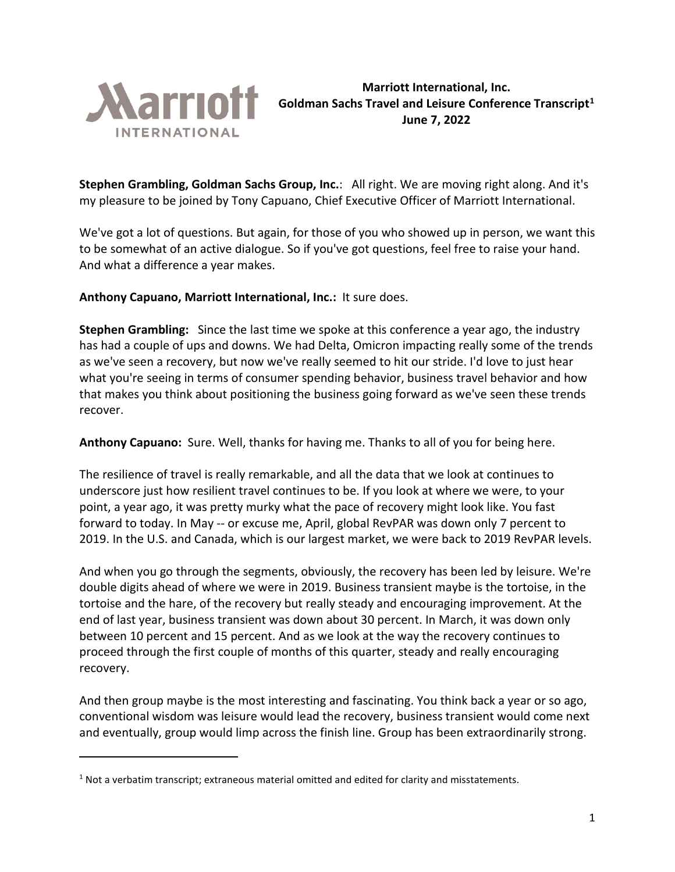

**Marriott International, Inc. Goldman Sachs Travel and Leisure Conference Transcript[1](#page-0-0) June 7, 2022**

**Stephen Grambling, Goldman Sachs Group, Inc.**: All right. We are moving right along. And it's my pleasure to be joined by Tony Capuano, Chief Executive Officer of Marriott International.

We've got a lot of questions. But again, for those of you who showed up in person, we want this to be somewhat of an active dialogue. So if you've got questions, feel free to raise your hand. And what a difference a year makes.

**Anthony Capuano, Marriott International, Inc.:** It sure does.

**Stephen Grambling:** Since the last time we spoke at this conference a year ago, the industry has had a couple of ups and downs. We had Delta, Omicron impacting really some of the trends as we've seen a recovery, but now we've really seemed to hit our stride. I'd love to just hear what you're seeing in terms of consumer spending behavior, business travel behavior and how that makes you think about positioning the business going forward as we've seen these trends recover.

**Anthony Capuano:** Sure. Well, thanks for having me. Thanks to all of you for being here.

The resilience of travel is really remarkable, and all the data that we look at continues to underscore just how resilient travel continues to be. If you look at where we were, to your point, a year ago, it was pretty murky what the pace of recovery might look like. You fast forward to today. In May -- or excuse me, April, global RevPAR was down only 7 percent to 2019. In the U.S. and Canada, which is our largest market, we were back to 2019 RevPAR levels.

And when you go through the segments, obviously, the recovery has been led by leisure. We're double digits ahead of where we were in 2019. Business transient maybe is the tortoise, in the tortoise and the hare, of the recovery but really steady and encouraging improvement. At the end of last year, business transient was down about 30 percent. In March, it was down only between 10 percent and 15 percent. And as we look at the way the recovery continues to proceed through the first couple of months of this quarter, steady and really encouraging recovery.

And then group maybe is the most interesting and fascinating. You think back a year or so ago, conventional wisdom was leisure would lead the recovery, business transient would come next and eventually, group would limp across the finish line. Group has been extraordinarily strong.

<span id="page-0-0"></span> $<sup>1</sup>$  Not a verbatim transcript; extraneous material omitted and edited for clarity and misstatements.</sup>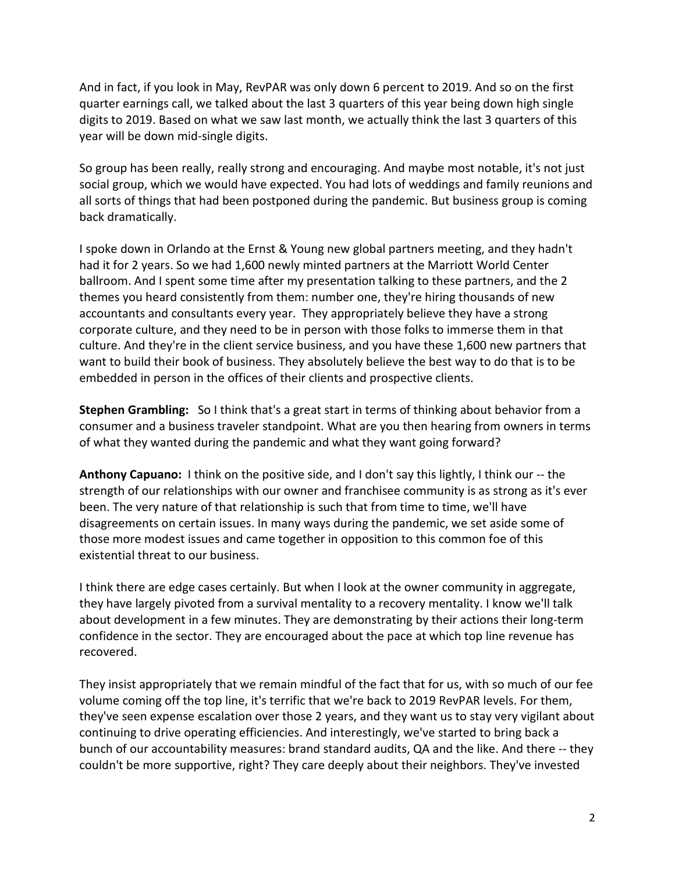And in fact, if you look in May, RevPAR was only down 6 percent to 2019. And so on the first quarter earnings call, we talked about the last 3 quarters of this year being down high single digits to 2019. Based on what we saw last month, we actually think the last 3 quarters of this year will be down mid-single digits.

So group has been really, really strong and encouraging. And maybe most notable, it's not just social group, which we would have expected. You had lots of weddings and family reunions and all sorts of things that had been postponed during the pandemic. But business group is coming back dramatically.

I spoke down in Orlando at the Ernst & Young new global partners meeting, and they hadn't had it for 2 years. So we had 1,600 newly minted partners at the Marriott World Center ballroom. And I spent some time after my presentation talking to these partners, and the 2 themes you heard consistently from them: number one, they're hiring thousands of new accountants and consultants every year. They appropriately believe they have a strong corporate culture, and they need to be in person with those folks to immerse them in that culture. And they're in the client service business, and you have these 1,600 new partners that want to build their book of business. They absolutely believe the best way to do that is to be embedded in person in the offices of their clients and prospective clients.

**Stephen Grambling:** So I think that's a great start in terms of thinking about behavior from a consumer and a business traveler standpoint. What are you then hearing from owners in terms of what they wanted during the pandemic and what they want going forward?

**Anthony Capuano:** I think on the positive side, and I don't say this lightly, I think our -- the strength of our relationships with our owner and franchisee community is as strong as it's ever been. The very nature of that relationship is such that from time to time, we'll have disagreements on certain issues. In many ways during the pandemic, we set aside some of those more modest issues and came together in opposition to this common foe of this existential threat to our business.

I think there are edge cases certainly. But when I look at the owner community in aggregate, they have largely pivoted from a survival mentality to a recovery mentality. I know we'll talk about development in a few minutes. They are demonstrating by their actions their long-term confidence in the sector. They are encouraged about the pace at which top line revenue has recovered.

They insist appropriately that we remain mindful of the fact that for us, with so much of our fee volume coming off the top line, it's terrific that we're back to 2019 RevPAR levels. For them, they've seen expense escalation over those 2 years, and they want us to stay very vigilant about continuing to drive operating efficiencies. And interestingly, we've started to bring back a bunch of our accountability measures: brand standard audits, QA and the like. And there -- they couldn't be more supportive, right? They care deeply about their neighbors. They've invested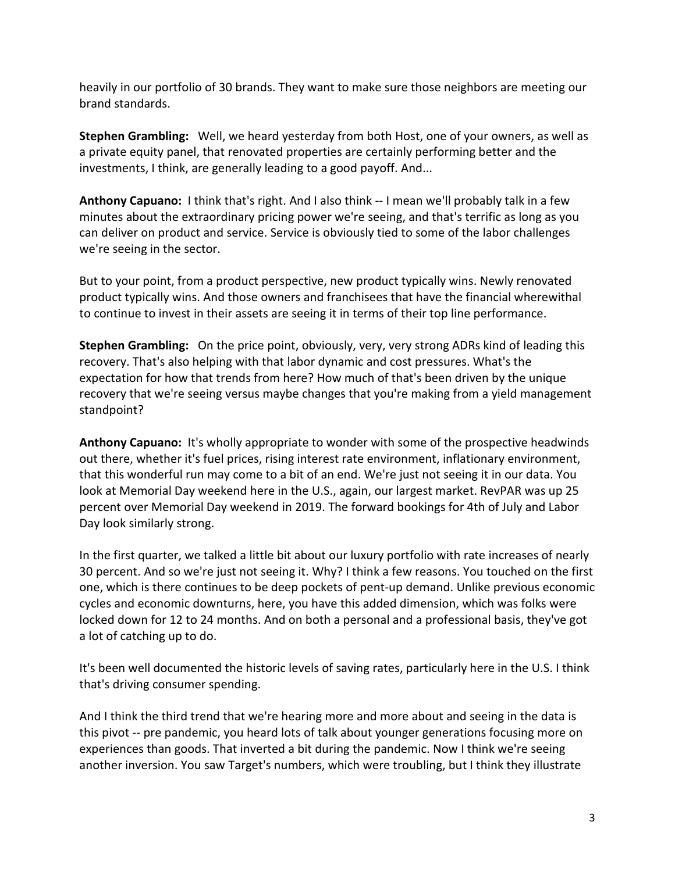heavily in our portfolio of 30 brands. They want to make sure those neighbors are meeting our brand standards.

**Stephen Grambling:** Well, we heard yesterday from both Host, one of your owners, as well as a private equity panel, that renovated properties are certainly performing better and the investments, I think, are generally leading to a good payoff. And...

**Anthony Capuano:** I think that's right. And I also think -- I mean we'll probably talk in a few minutes about the extraordinary pricing power we're seeing, and that's terrific as long as you can deliver on product and service. Service is obviously tied to some of the labor challenges we're seeing in the sector.

But to your point, from a product perspective, new product typically wins. Newly renovated product typically wins. And those owners and franchisees that have the financial wherewithal to continue to invest in their assets are seeing it in terms of their top line performance.

**Stephen Grambling:** On the price point, obviously, very, very strong ADRs kind of leading this recovery. That's also helping with that labor dynamic and cost pressures. What's the expectation for how that trends from here? How much of that's been driven by the unique recovery that we're seeing versus maybe changes that you're making from a yield management standpoint?

**Anthony Capuano:** It's wholly appropriate to wonder with some of the prospective headwinds out there, whether it's fuel prices, rising interest rate environment, inflationary environment, that this wonderful run may come to a bit of an end. We're just not seeing it in our data. You look at Memorial Day weekend here in the U.S., again, our largest market. RevPAR was up 25 percent over Memorial Day weekend in 2019. The forward bookings for 4th of July and Labor Day look similarly strong.

In the first quarter, we talked a little bit about our luxury portfolio with rate increases of nearly 30 percent. And so we're just not seeing it. Why? I think a few reasons. You touched on the first one, which is there continues to be deep pockets of pent-up demand. Unlike previous economic cycles and economic downturns, here, you have this added dimension, which was folks were locked down for 12 to 24 months. And on both a personal and a professional basis, they've got a lot of catching up to do.

It's been well documented the historic levels of saving rates, particularly here in the U.S. I think that's driving consumer spending.

And I think the third trend that we're hearing more and more about and seeing in the data is this pivot -- pre pandemic, you heard lots of talk about younger generations focusing more on experiences than goods. That inverted a bit during the pandemic. Now I think we're seeing another inversion. You saw Target's numbers, which were troubling, but I think they illustrate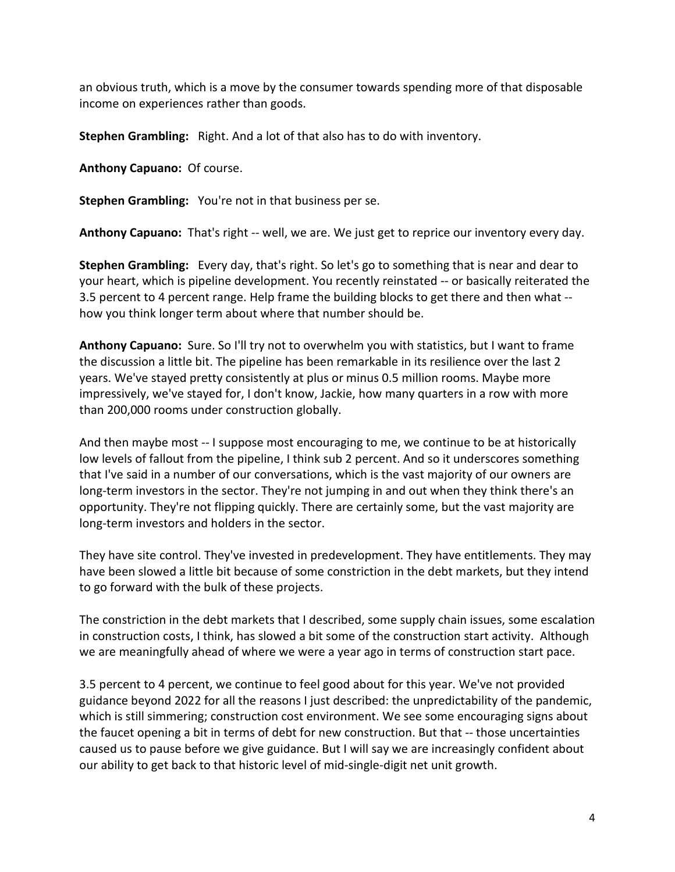an obvious truth, which is a move by the consumer towards spending more of that disposable income on experiences rather than goods.

**Stephen Grambling:** Right. And a lot of that also has to do with inventory.

**Anthony Capuano:** Of course.

**Stephen Grambling:** You're not in that business per se.

**Anthony Capuano:** That's right -- well, we are. We just get to reprice our inventory every day.

**Stephen Grambling:** Every day, that's right. So let's go to something that is near and dear to your heart, which is pipeline development. You recently reinstated -- or basically reiterated the 3.5 percent to 4 percent range. Help frame the building blocks to get there and then what - how you think longer term about where that number should be.

**Anthony Capuano:** Sure. So I'll try not to overwhelm you with statistics, but I want to frame the discussion a little bit. The pipeline has been remarkable in its resilience over the last 2 years. We've stayed pretty consistently at plus or minus 0.5 million rooms. Maybe more impressively, we've stayed for, I don't know, Jackie, how many quarters in a row with more than 200,000 rooms under construction globally.

And then maybe most -- I suppose most encouraging to me, we continue to be at historically low levels of fallout from the pipeline, I think sub 2 percent. And so it underscores something that I've said in a number of our conversations, which is the vast majority of our owners are long-term investors in the sector. They're not jumping in and out when they think there's an opportunity. They're not flipping quickly. There are certainly some, but the vast majority are long-term investors and holders in the sector.

They have site control. They've invested in predevelopment. They have entitlements. They may have been slowed a little bit because of some constriction in the debt markets, but they intend to go forward with the bulk of these projects.

The constriction in the debt markets that I described, some supply chain issues, some escalation in construction costs, I think, has slowed a bit some of the construction start activity. Although we are meaningfully ahead of where we were a year ago in terms of construction start pace.

3.5 percent to 4 percent, we continue to feel good about for this year. We've not provided guidance beyond 2022 for all the reasons I just described: the unpredictability of the pandemic, which is still simmering; construction cost environment. We see some encouraging signs about the faucet opening a bit in terms of debt for new construction. But that -- those uncertainties caused us to pause before we give guidance. But I will say we are increasingly confident about our ability to get back to that historic level of mid-single-digit net unit growth.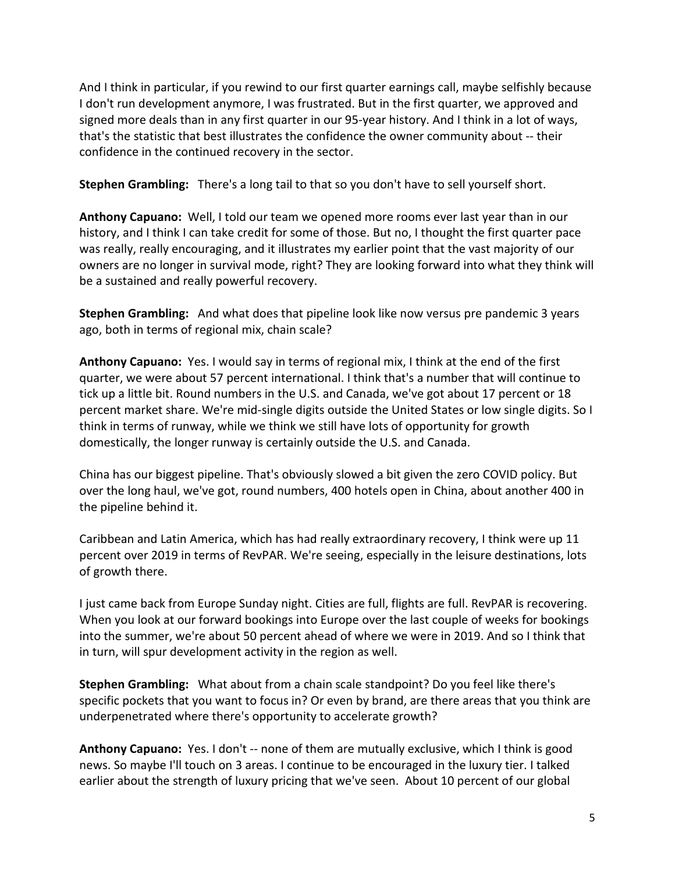And I think in particular, if you rewind to our first quarter earnings call, maybe selfishly because I don't run development anymore, I was frustrated. But in the first quarter, we approved and signed more deals than in any first quarter in our 95-year history. And I think in a lot of ways, that's the statistic that best illustrates the confidence the owner community about -- their confidence in the continued recovery in the sector.

**Stephen Grambling:** There's a long tail to that so you don't have to sell yourself short.

**Anthony Capuano:** Well, I told our team we opened more rooms ever last year than in our history, and I think I can take credit for some of those. But no, I thought the first quarter pace was really, really encouraging, and it illustrates my earlier point that the vast majority of our owners are no longer in survival mode, right? They are looking forward into what they think will be a sustained and really powerful recovery.

**Stephen Grambling:** And what does that pipeline look like now versus pre pandemic 3 years ago, both in terms of regional mix, chain scale?

**Anthony Capuano:** Yes. I would say in terms of regional mix, I think at the end of the first quarter, we were about 57 percent international. I think that's a number that will continue to tick up a little bit. Round numbers in the U.S. and Canada, we've got about 17 percent or 18 percent market share. We're mid-single digits outside the United States or low single digits. So I think in terms of runway, while we think we still have lots of opportunity for growth domestically, the longer runway is certainly outside the U.S. and Canada.

China has our biggest pipeline. That's obviously slowed a bit given the zero COVID policy. But over the long haul, we've got, round numbers, 400 hotels open in China, about another 400 in the pipeline behind it.

Caribbean and Latin America, which has had really extraordinary recovery, I think were up 11 percent over 2019 in terms of RevPAR. We're seeing, especially in the leisure destinations, lots of growth there.

I just came back from Europe Sunday night. Cities are full, flights are full. RevPAR is recovering. When you look at our forward bookings into Europe over the last couple of weeks for bookings into the summer, we're about 50 percent ahead of where we were in 2019. And so I think that in turn, will spur development activity in the region as well.

**Stephen Grambling:** What about from a chain scale standpoint? Do you feel like there's specific pockets that you want to focus in? Or even by brand, are there areas that you think are underpenetrated where there's opportunity to accelerate growth?

**Anthony Capuano:** Yes. I don't -- none of them are mutually exclusive, which I think is good news. So maybe I'll touch on 3 areas. I continue to be encouraged in the luxury tier. I talked earlier about the strength of luxury pricing that we've seen. About 10 percent of our global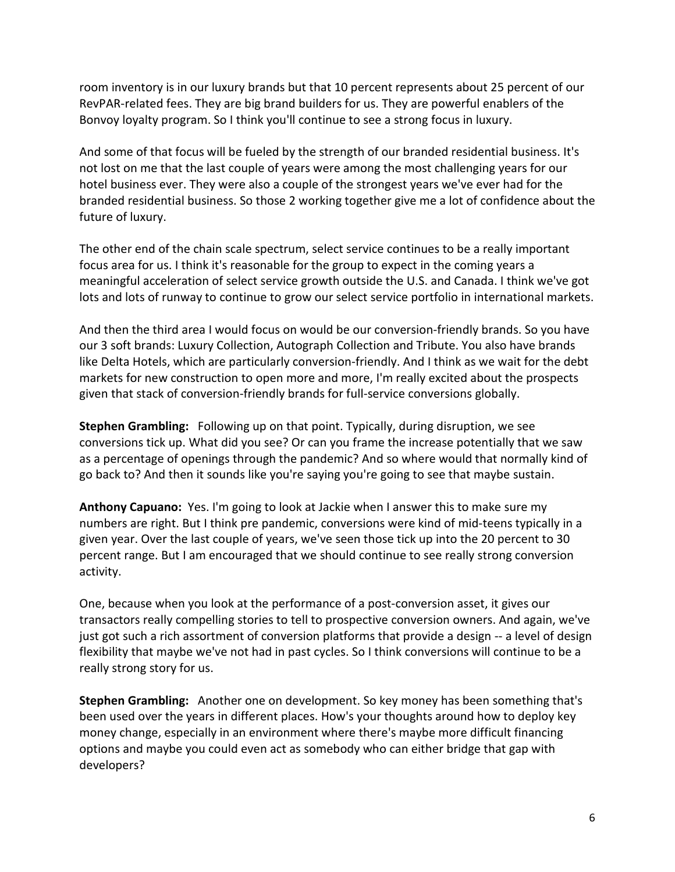room inventory is in our luxury brands but that 10 percent represents about 25 percent of our RevPAR-related fees. They are big brand builders for us. They are powerful enablers of the Bonvoy loyalty program. So I think you'll continue to see a strong focus in luxury.

And some of that focus will be fueled by the strength of our branded residential business. It's not lost on me that the last couple of years were among the most challenging years for our hotel business ever. They were also a couple of the strongest years we've ever had for the branded residential business. So those 2 working together give me a lot of confidence about the future of luxury.

The other end of the chain scale spectrum, select service continues to be a really important focus area for us. I think it's reasonable for the group to expect in the coming years a meaningful acceleration of select service growth outside the U.S. and Canada. I think we've got lots and lots of runway to continue to grow our select service portfolio in international markets.

And then the third area I would focus on would be our conversion-friendly brands. So you have our 3 soft brands: Luxury Collection, Autograph Collection and Tribute. You also have brands like Delta Hotels, which are particularly conversion-friendly. And I think as we wait for the debt markets for new construction to open more and more, I'm really excited about the prospects given that stack of conversion-friendly brands for full-service conversions globally.

**Stephen Grambling:** Following up on that point. Typically, during disruption, we see conversions tick up. What did you see? Or can you frame the increase potentially that we saw as a percentage of openings through the pandemic? And so where would that normally kind of go back to? And then it sounds like you're saying you're going to see that maybe sustain.

**Anthony Capuano:** Yes. I'm going to look at Jackie when I answer this to make sure my numbers are right. But I think pre pandemic, conversions were kind of mid-teens typically in a given year. Over the last couple of years, we've seen those tick up into the 20 percent to 30 percent range. But I am encouraged that we should continue to see really strong conversion activity.

One, because when you look at the performance of a post-conversion asset, it gives our transactors really compelling stories to tell to prospective conversion owners. And again, we've just got such a rich assortment of conversion platforms that provide a design -- a level of design flexibility that maybe we've not had in past cycles. So I think conversions will continue to be a really strong story for us.

**Stephen Grambling:** Another one on development. So key money has been something that's been used over the years in different places. How's your thoughts around how to deploy key money change, especially in an environment where there's maybe more difficult financing options and maybe you could even act as somebody who can either bridge that gap with developers?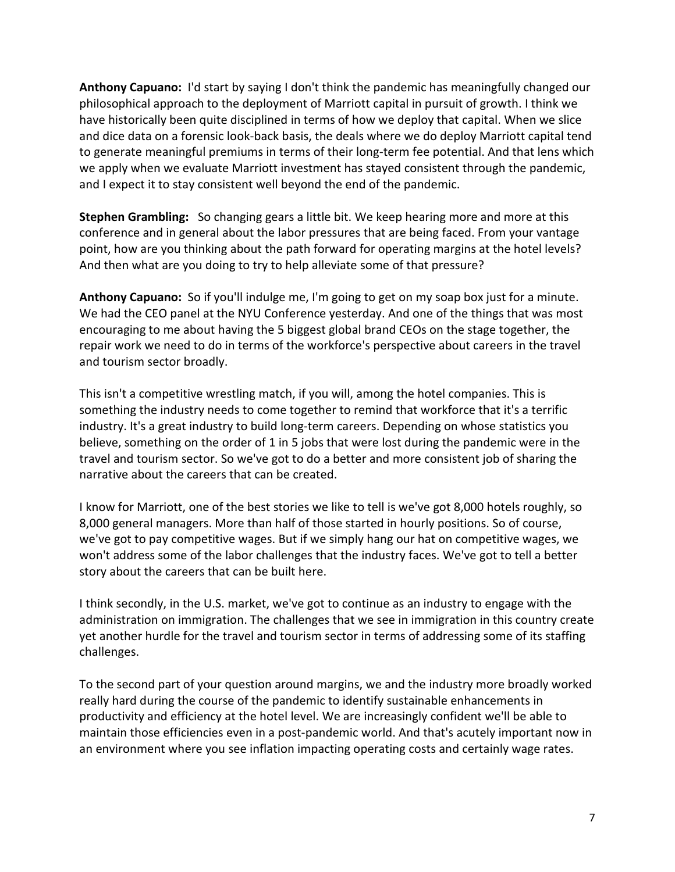**Anthony Capuano:** I'd start by saying I don't think the pandemic has meaningfully changed our philosophical approach to the deployment of Marriott capital in pursuit of growth. I think we have historically been quite disciplined in terms of how we deploy that capital. When we slice and dice data on a forensic look-back basis, the deals where we do deploy Marriott capital tend to generate meaningful premiums in terms of their long-term fee potential. And that lens which we apply when we evaluate Marriott investment has stayed consistent through the pandemic, and I expect it to stay consistent well beyond the end of the pandemic.

**Stephen Grambling:** So changing gears a little bit. We keep hearing more and more at this conference and in general about the labor pressures that are being faced. From your vantage point, how are you thinking about the path forward for operating margins at the hotel levels? And then what are you doing to try to help alleviate some of that pressure?

**Anthony Capuano:** So if you'll indulge me, I'm going to get on my soap box just for a minute. We had the CEO panel at the NYU Conference yesterday. And one of the things that was most encouraging to me about having the 5 biggest global brand CEOs on the stage together, the repair work we need to do in terms of the workforce's perspective about careers in the travel and tourism sector broadly.

This isn't a competitive wrestling match, if you will, among the hotel companies. This is something the industry needs to come together to remind that workforce that it's a terrific industry. It's a great industry to build long-term careers. Depending on whose statistics you believe, something on the order of 1 in 5 jobs that were lost during the pandemic were in the travel and tourism sector. So we've got to do a better and more consistent job of sharing the narrative about the careers that can be created.

I know for Marriott, one of the best stories we like to tell is we've got 8,000 hotels roughly, so 8,000 general managers. More than half of those started in hourly positions. So of course, we've got to pay competitive wages. But if we simply hang our hat on competitive wages, we won't address some of the labor challenges that the industry faces. We've got to tell a better story about the careers that can be built here.

I think secondly, in the U.S. market, we've got to continue as an industry to engage with the administration on immigration. The challenges that we see in immigration in this country create yet another hurdle for the travel and tourism sector in terms of addressing some of its staffing challenges.

To the second part of your question around margins, we and the industry more broadly worked really hard during the course of the pandemic to identify sustainable enhancements in productivity and efficiency at the hotel level. We are increasingly confident we'll be able to maintain those efficiencies even in a post-pandemic world. And that's acutely important now in an environment where you see inflation impacting operating costs and certainly wage rates.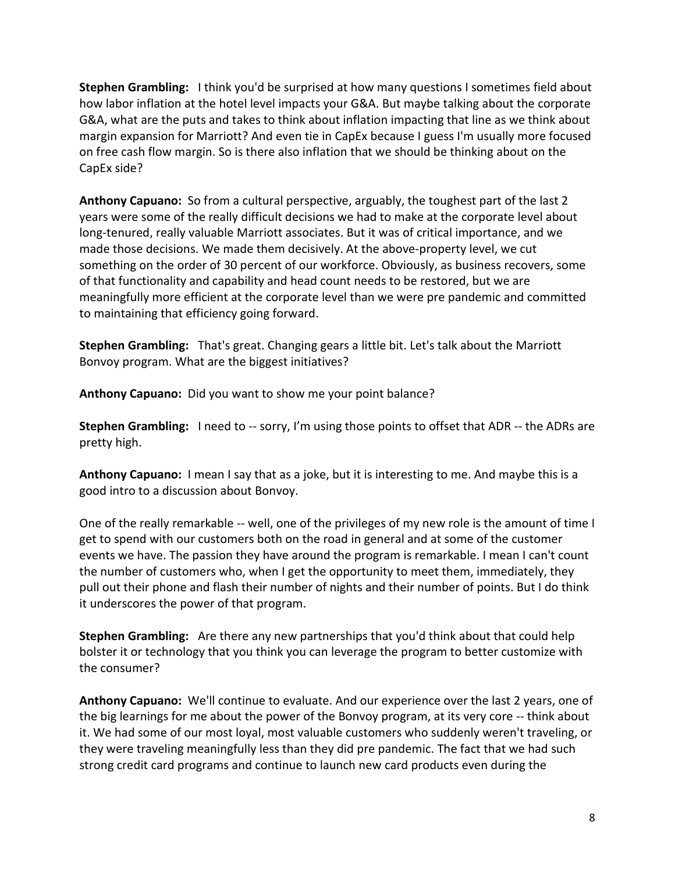**Stephen Grambling:** I think you'd be surprised at how many questions I sometimes field about how labor inflation at the hotel level impacts your G&A. But maybe talking about the corporate G&A, what are the puts and takes to think about inflation impacting that line as we think about margin expansion for Marriott? And even tie in CapEx because I guess I'm usually more focused on free cash flow margin. So is there also inflation that we should be thinking about on the CapEx side?

**Anthony Capuano:** So from a cultural perspective, arguably, the toughest part of the last 2 years were some of the really difficult decisions we had to make at the corporate level about long-tenured, really valuable Marriott associates. But it was of critical importance, and we made those decisions. We made them decisively. At the above-property level, we cut something on the order of 30 percent of our workforce. Obviously, as business recovers, some of that functionality and capability and head count needs to be restored, but we are meaningfully more efficient at the corporate level than we were pre pandemic and committed to maintaining that efficiency going forward.

**Stephen Grambling:** That's great. Changing gears a little bit. Let's talk about the Marriott Bonvoy program. What are the biggest initiatives?

**Anthony Capuano:** Did you want to show me your point balance?

**Stephen Grambling:** I need to -- sorry, I'm using those points to offset that ADR -- the ADRs are pretty high.

**Anthony Capuano:** I mean I say that as a joke, but it is interesting to me. And maybe this is a good intro to a discussion about Bonvoy.

One of the really remarkable -- well, one of the privileges of my new role is the amount of time I get to spend with our customers both on the road in general and at some of the customer events we have. The passion they have around the program is remarkable. I mean I can't count the number of customers who, when I get the opportunity to meet them, immediately, they pull out their phone and flash their number of nights and their number of points. But I do think it underscores the power of that program.

**Stephen Grambling:** Are there any new partnerships that you'd think about that could help bolster it or technology that you think you can leverage the program to better customize with the consumer?

**Anthony Capuano:** We'll continue to evaluate. And our experience over the last 2 years, one of the big learnings for me about the power of the Bonvoy program, at its very core -- think about it. We had some of our most loyal, most valuable customers who suddenly weren't traveling, or they were traveling meaningfully less than they did pre pandemic. The fact that we had such strong credit card programs and continue to launch new card products even during the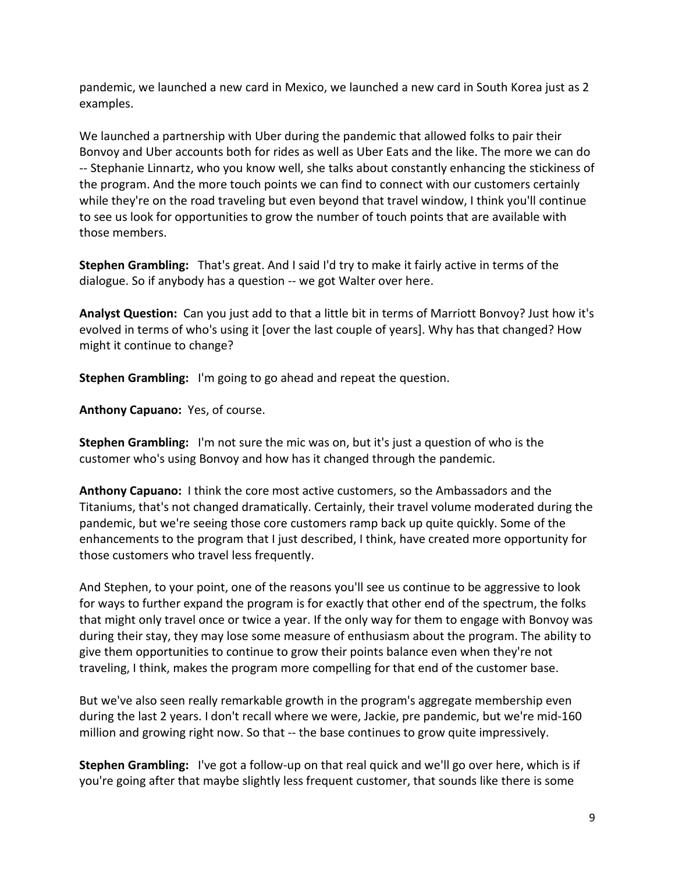pandemic, we launched a new card in Mexico, we launched a new card in South Korea just as 2 examples.

We launched a partnership with Uber during the pandemic that allowed folks to pair their Bonvoy and Uber accounts both for rides as well as Uber Eats and the like. The more we can do -- Stephanie Linnartz, who you know well, she talks about constantly enhancing the stickiness of the program. And the more touch points we can find to connect with our customers certainly while they're on the road traveling but even beyond that travel window, I think you'll continue to see us look for opportunities to grow the number of touch points that are available with those members.

**Stephen Grambling:** That's great. And I said I'd try to make it fairly active in terms of the dialogue. So if anybody has a question -- we got Walter over here.

**Analyst Question:** Can you just add to that a little bit in terms of Marriott Bonvoy? Just how it's evolved in terms of who's using it [over the last couple of years]. Why has that changed? How might it continue to change?

**Stephen Grambling:** I'm going to go ahead and repeat the question.

**Anthony Capuano:** Yes, of course.

**Stephen Grambling:** I'm not sure the mic was on, but it's just a question of who is the customer who's using Bonvoy and how has it changed through the pandemic.

**Anthony Capuano:** I think the core most active customers, so the Ambassadors and the Titaniums, that's not changed dramatically. Certainly, their travel volume moderated during the pandemic, but we're seeing those core customers ramp back up quite quickly. Some of the enhancements to the program that I just described, I think, have created more opportunity for those customers who travel less frequently.

And Stephen, to your point, one of the reasons you'll see us continue to be aggressive to look for ways to further expand the program is for exactly that other end of the spectrum, the folks that might only travel once or twice a year. If the only way for them to engage with Bonvoy was during their stay, they may lose some measure of enthusiasm about the program. The ability to give them opportunities to continue to grow their points balance even when they're not traveling, I think, makes the program more compelling for that end of the customer base.

But we've also seen really remarkable growth in the program's aggregate membership even during the last 2 years. I don't recall where we were, Jackie, pre pandemic, but we're mid-160 million and growing right now. So that -- the base continues to grow quite impressively.

**Stephen Grambling:** I've got a follow-up on that real quick and we'll go over here, which is if you're going after that maybe slightly less frequent customer, that sounds like there is some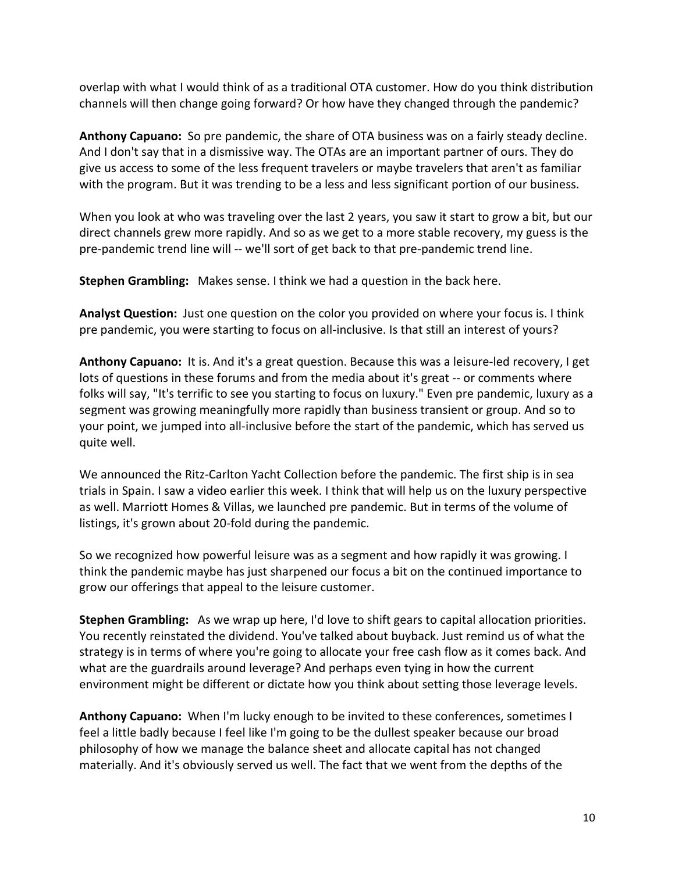overlap with what I would think of as a traditional OTA customer. How do you think distribution channels will then change going forward? Or how have they changed through the pandemic?

**Anthony Capuano:** So pre pandemic, the share of OTA business was on a fairly steady decline. And I don't say that in a dismissive way. The OTAs are an important partner of ours. They do give us access to some of the less frequent travelers or maybe travelers that aren't as familiar with the program. But it was trending to be a less and less significant portion of our business.

When you look at who was traveling over the last 2 years, you saw it start to grow a bit, but our direct channels grew more rapidly. And so as we get to a more stable recovery, my guess is the pre-pandemic trend line will -- we'll sort of get back to that pre-pandemic trend line.

**Stephen Grambling:** Makes sense. I think we had a question in the back here.

**Analyst Question:** Just one question on the color you provided on where your focus is. I think pre pandemic, you were starting to focus on all-inclusive. Is that still an interest of yours?

**Anthony Capuano:** It is. And it's a great question. Because this was a leisure-led recovery, I get lots of questions in these forums and from the media about it's great -- or comments where folks will say, "It's terrific to see you starting to focus on luxury." Even pre pandemic, luxury as a segment was growing meaningfully more rapidly than business transient or group. And so to your point, we jumped into all-inclusive before the start of the pandemic, which has served us quite well.

We announced the Ritz-Carlton Yacht Collection before the pandemic. The first ship is in sea trials in Spain. I saw a video earlier this week. I think that will help us on the luxury perspective as well. Marriott Homes & Villas, we launched pre pandemic. But in terms of the volume of listings, it's grown about 20-fold during the pandemic.

So we recognized how powerful leisure was as a segment and how rapidly it was growing. I think the pandemic maybe has just sharpened our focus a bit on the continued importance to grow our offerings that appeal to the leisure customer.

**Stephen Grambling:** As we wrap up here, I'd love to shift gears to capital allocation priorities. You recently reinstated the dividend. You've talked about buyback. Just remind us of what the strategy is in terms of where you're going to allocate your free cash flow as it comes back. And what are the guardrails around leverage? And perhaps even tying in how the current environment might be different or dictate how you think about setting those leverage levels.

**Anthony Capuano:** When I'm lucky enough to be invited to these conferences, sometimes I feel a little badly because I feel like I'm going to be the dullest speaker because our broad philosophy of how we manage the balance sheet and allocate capital has not changed materially. And it's obviously served us well. The fact that we went from the depths of the